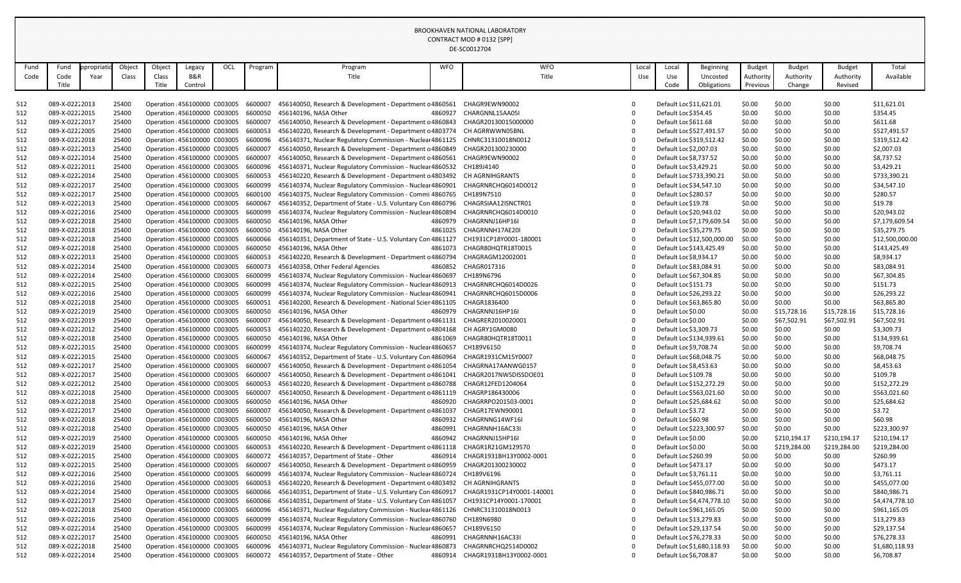| Fund | Fund           | propriatic | Object | Object | Legacy                              | OCL | Program | Program                                                                        | <b>WFO</b> | <b>WFO</b>                 | Local      | Local              | Beginning                   | Budget    | <b>Budget</b> | <b>Budget</b> | Total           |
|------|----------------|------------|--------|--------|-------------------------------------|-----|---------|--------------------------------------------------------------------------------|------------|----------------------------|------------|--------------------|-----------------------------|-----------|---------------|---------------|-----------------|
| Code | Code           | Year       | Class  | Class  | B&R                                 |     |         | Title                                                                          |            | Title                      | <b>Use</b> | Use                | Uncosted                    | Authority | Authority     | Authority     | Available       |
|      |                |            |        |        |                                     |     |         |                                                                                |            |                            |            |                    |                             |           |               |               |                 |
|      | Title          |            |        | Title  | Control                             |     |         |                                                                                |            |                            |            | Code               | Obligations                 | Previous  | Change        | Revised       |                 |
|      |                |            |        |        |                                     |     |         |                                                                                |            |                            |            |                    |                             |           |               |               |                 |
| 512  | 089-X-02222013 |            | 25400  |        | Operation 456100000 C003005         |     | 6600007 | 456140050, Research & Development - Department o 4860561                       |            | CHAGR9EWN90002             |            |                    | Default Loc \$11,621.01     | \$0.00    | \$0.00        | \$0.00        | \$11,621.01     |
| 512  | 089-X-02222015 |            | 25400  |        | Operation 456100000 C003005         |     | 6600050 | 456140196, NASA Other                                                          | 4860927    | CHARGNNL15AA05I            |            |                    | Default Loc \$354.45        | \$0.00    | \$0.00        | \$0.00        | \$354.45        |
| 512  | 089-X-02222017 |            | 25400  |        | Operation 456100000 C003005         |     | 6600007 | 456140050, Research & Development - Department c 4860843                       |            | CHAGR20130015000000        |            |                    | Default Loc \$611.68        | \$0.00    | \$0.00        | \$0.00        | \$611.68        |
| 512  | 089-X-02222005 |            | 25400  |        | Operation 456100000 C003005         |     | 6600053 | 456140220, Research & Development - Department c 4803774 CH AGRRWWN05BNL       |            |                            |            |                    | Default Loc \$527,491.57    | \$0.00    | \$0.00        | \$0.00        | \$527,491.57    |
| 512  | 089-X-02222018 |            | 25400  |        | Operation 456100000 C003005         |     | 6600096 | 456140371, Nuclear Regulatory Commission - Nuclear 4861125                     |            | CHNRC31310018N0012         |            |                    | Default Loc \$319,512.42    | \$0.00    | \$0.00        | \$0.00        | \$319,512.42    |
| 512  | 089-X-02222013 |            | 25400  |        | Operation 456100000 C003005         |     | 6600007 | 456140050, Research & Development - Department o 4860849                       |            | CHAGR201300230000          |            |                    | Default Loc \$2,007.03      | \$0.00    | \$0.00        | \$0.00        | \$2,007.03      |
| 512  | 089-X-02222014 |            | 25400  |        | Operation 456100000 C003005         |     | 6600007 | 456140050, Research & Development - Department o 4860561                       |            | CHAGR9EWN90002             |            |                    | Default Loc \$8,737.52      | \$0.00    | \$0.00        | \$0.00        | \$8,737.52      |
| 512  | 089-X-02222011 |            | 25400  |        | Operation 456100000 C003005         |     | 6600096 | 456140371, Nuclear Regulatory Commission - Nuclear 4860532                     |            | CH189J4140                 |            |                    | Default Loc \$3,429.21      | \$0.00    | \$0.00        | \$0.00        | \$3,429.21      |
| 512  | 089-X-02222014 |            | 25400  |        | Operation 456100000 C003005         |     | 6600053 | 456140220, Research & Development - Department o 4803492                       |            | <b>CH AGRNIHGRANTS</b>     |            |                    | Default Loc \$733,390.21    | \$0.00    | \$0.00        | \$0.00        | \$733,390.21    |
|      | 089-X-02222017 |            | 25400  |        |                                     |     | 6600099 |                                                                                |            | CHAGRNRCHQ6014D0012        |            |                    |                             | \$0.00    | \$0.00        |               | \$34,547.10     |
| 512  |                |            |        |        | Operation 456100000 C003005         |     |         | 456140374, Nuclear Regulatory Commission - Nuclear 4860901                     |            |                            |            |                    | Default Loc \$34,547.10     |           |               | \$0.00        |                 |
| 512  | 089-X-02222017 |            | 25400  |        | Operation 456100000 C003005         |     | 6600100 | 456140375, Nuclear Regulatory Commission - Commi 4860765                       |            | CH189N7510                 |            |                    | Default Loc \$280.57        | \$0.00    | \$0.00        | \$0.00        | \$280.57        |
| 512  | 089-X-02222013 |            | 25400  |        | Operation : 456100000 C003005       |     | 6600067 | 456140352, Department of State - U.S. Voluntary Con 4860796                    |            | CHAGRSIAA12ISNCTR01        |            |                    | Default Loc \$19.78         | \$0.00    | \$0.00        | \$0.00        | \$19.78         |
| 512  | 089-X-02222016 |            | 25400  |        | Operation 456100000 C003005         |     | 6600099 | 456140374, Nuclear Regulatory Commission - Nucleal 4860894                     |            | CHAGRNRCHQ6014D0010        |            |                    | Default Loc \$20,943.02     | \$0.00    | \$0.00        | \$0.00        | \$20,943.02     |
| 512  | 089-X-02222018 |            | 25400  |        | Operation 456100000 C003005         |     | 6600050 | 456140196, NASA Other                                                          | 4860979    | CHAGRNNJ16HP16I            |            |                    | Default Loc \$7,179,609.54  | \$0.00    | \$0.00        | \$0.00        | \$7,179,609.54  |
| 512  | 089-X-02222018 |            | 25400  |        | Operation 456100000 C003005         |     | 6600050 | 456140196, NASA Other                                                          | 4861025    | CHAGRNNH17AE20I            |            |                    | Default Loc \$35,279.75     | \$0.00    | \$0.00        | \$0.00        | \$35,279.75     |
| 512  | 089-X-02222018 |            | 25400  |        | Operation 456100000 C003005         |     | 6600066 | 456140351, Department of State - U.S. Voluntary Con 4861127                    |            | CH1931CP18Y0001-180001     |            |                    | Default Loc \$12,500,000.00 | \$0.00    | \$0.00        | \$0.00        | \$12,500,000.00 |
| 512  | 089-X-02222018 |            | 25400  |        | Operation 456100000 C003005         |     | 6600050 | 456140196, NASA Other                                                          | 4861073    | CHAGR80HQTR18T0015         |            |                    | Default Loc \$143,425.49    | \$0.00    | \$0.00        | \$0.00        | \$143,425.49    |
| 512  | 089-X-02222013 |            | 25400  |        | Operation 456100000 C003005         |     | 6600053 | 456140220, Research & Development - Department c 4860794                       |            | CHAGRAGM12002001           |            |                    | Default Loc \$8,934.17      | \$0.00    | \$0.00        | \$0.00        | \$8,934.17      |
| 512  | 089-X-02222014 |            | 25400  |        | Operation 456100000 C003005         |     | 6600073 | 456140358, Other Federal Agencies                                              | 4860852    | CHAGR017316                |            |                    | Default Loc \$83,084.91     | \$0.00    | \$0.00        | \$0.00        | \$83,084.91     |
| 512  | 089-X-02222014 |            | 25400  |        | Operation 456100000 C003005         |     | 6600099 | 456140374, Nuclear Regulatory Commission - Nuclear 4860697                     |            | CH189N6796                 |            |                    | Default Loc \$67,304.85     | \$0.00    | \$0.00        | \$0.00        | \$67,304.85     |
| 512  | 089-X-02222015 |            | 25400  |        | Operation 456100000 C003005         |     | 6600099 | 456140374, Nuclear Regulatory Commission - Nuclear 4860913                     |            | CHAGRNRCHQ6014D0026        |            |                    | Default Loc \$151.73        | \$0.00    | \$0.00        | \$0.00        | \$151.73        |
| 512  | 089-X-02222016 |            | 25400  |        | Operation 456100000 C003005         |     | 6600099 | 456140374, Nuclear Regulatory Commission - Nuclear 4860941 CHAGRNRCHQ6015D0006 |            |                            |            |                    | Default Loc \$26,293.22     | \$0.00    | \$0.00        | \$0.00        | \$26,293.22     |
| 512  | 089-X-02222018 |            | 25400  |        | Operation 456100000 C003005         |     | 6600051 | 456140200, Research & Development - National Scier 4861105                     |            | CHAGR1836400               |            |                    | Default Loc \$63,865.80     | \$0.00    | \$0.00        | \$0.00        | \$63,865.80     |
| 512  | 089-X-02222019 |            | 25400  |        | Operation 456100000 C003005         |     | 6600050 | 456140196, NASA Other                                                          |            | 4860979 CHAGRNNJ16HP16I    |            | Default Loc \$0.00 |                             | \$0.00    | \$15,728.16   | \$15,728.16   | \$15,728.16     |
|      | 089-X-02222019 |            | 25400  |        |                                     |     | 6600007 | 456140050, Research & Development - Department c 4861131                       |            | CHAGRER2010020001          |            | Default Loc \$0.00 |                             | \$0.00    | \$67,502.91   | \$67,502.91   | \$67,502.91     |
| 512  |                |            |        |        | Operation 456100000 C003005         |     |         |                                                                                |            |                            |            |                    |                             |           |               |               |                 |
| 512  | 089-X-02222012 |            | 25400  |        | Operation 456100000 C003005         |     | 6600053 | 456140220, Research & Development - Department c 4804168 CH AGRY1GM0080        |            |                            |            |                    | Default Loc \$3,309.73      | \$0.00    | \$0.00        | \$0.00        | \$3,309.73      |
| 512  | 089-X-02222018 |            | 25400  |        | Operation 456100000 C003005         |     | 6600050 | 456140196, NASA Other                                                          |            | 4861069 CHAGR80HQTR18T0011 |            |                    | Default Loc \$134,939.61    | \$0.00    | \$0.00        | \$0.00        | \$134,939.61    |
| 512  | 089-X-02222015 |            | 25400  |        | Operation 456100000 C003005 6600099 |     |         | 456140374, Nuclear Regulatory Commission - Nucleal 4860657                     |            | CH189V6150                 |            |                    | Default Loc \$9,708.74      | \$0.00    | \$0.00        | \$0.00        | \$9,708.74      |
| 512  | 089-X-02222015 |            | 25400  |        | Operation : 456100000 C003005       |     | 6600067 | 456140352, Department of State - U.S. Voluntary Con 4860964                    |            | CHAGR1931CM15Y0007         |            |                    | Default Loc \$68,048.75     | \$0.00    | \$0.00        | \$0.00        | \$68,048.75     |
| 512  | 089-X-02222017 |            | 25400  |        | Operation 456100000 C003005         |     | 6600007 | 456140050, Research & Development - Department c 4861054                       |            | CHAGRNA17AANWG0157         | 0          |                    | Default Loc \$8,453.63      | \$0.00    | \$0.00        | \$0.00        | \$8,453.63      |
| 512  | 089-X-02222017 |            | 25400  |        | Operation 456100000 C003005         |     | 6600007 | 456140050, Research & Development - Department o 4861041                       |            | CHAGR2017NWSDISSDOE01      |            |                    | Default Loc \$109.78        | \$0.00    | \$0.00        | \$0.00        | \$109.78        |
| 512  | 089-X-02222012 |            | 25400  |        | Operation : 456100000 C003005       |     | 6600053 | 456140220, Research & Development - Department o 4860788                       |            | CHAGR12FED1204064          |            |                    | Default Loc \$152,272.29    | \$0.00    | \$0.00        | \$0.00        | \$152,272.29    |
| 512  | 089-X-02222018 |            | 25400  |        | Operation : 456100000 C003005       |     | 6600007 | 456140050, Research & Development - Department c 4861119                       |            | CHAGRP186430006            |            |                    | Default Loc \$563,021.60    | \$0.00    | \$0.00        | \$0.00        | \$563,021.60    |
| 512  | 089-X-02222018 |            | 25400  |        | Operation 456100000 C003005         |     | 6600050 | 456140196, NASA Other                                                          | 4860920    | CHAGRRPO201503-0001        |            |                    | Default Loc \$25,684.62     | \$0.00    | \$0.00        | \$0.00        | \$25,684.62     |
| 512  | 089-X-02222017 |            | 25400  |        | Operation : 456100000 C003005       |     | 6600007 | 456140050, Research & Development - Department c 4861037                       |            | CHAGR17EWN90001            |            | Default Loc \$3.72 |                             | \$0.00    | \$0.00        | \$0.00        | \$3.72          |
| 512  | 089-X-02222018 |            | 25400  |        | Operation : 456100000 C003005       |     | 6600050 | 456140196, NASA Other                                                          | 4860932    | CHAGRNNG14WF16I            |            |                    | Default Loc \$60.98         | \$0.00    | \$0.00        | \$0.00        | \$60.98         |
| 512  | 089-X-02222018 |            | 25400  |        | Operation 456100000 C003005         |     | 6600050 | 456140196, NASA Other                                                          | 4860991    | CHAGRNNH16AC33I            |            |                    | Default Loc \$223,300.97    | \$0.00    | \$0.00        | \$0.00        | \$223,300.97    |
| 512  | 089-X-02222019 |            | 25400  |        | Operation 456100000 C003005         |     | 6600050 | 456140196, NASA Other                                                          | 4860942    | CHAGRNNJ15HP16I            |            | Default Loc \$0.00 |                             | \$0.00    | \$210,194.17  | \$210,194.17  | \$210,194.17    |
| 512  | 089-X-02222019 |            | 25400  |        | Operation 456100000 C003005         |     | 6600053 | 456140220, Research & Development - Department c 4861118                       |            | CHAGR1R21GM129570          |            | Default Loc \$0.00 |                             | \$0.00    | \$219,284.00  | \$219,284.00  | \$219,284.00    |
| 512  | 089-X-02222015 |            | 25400  |        | Operation : 456100000 C003005       |     | 6600072 | 456140357, Department of State - Other                                         | 4860914    | CHAGR1931BH13Y0002-0001    |            |                    | Default Loc \$260.99        | \$0.00    | \$0.00        | \$0.00        | \$260.99        |
|      | 089-X-02222015 |            | 25400  |        | Operation : 456100000 C003005       |     | 6600007 | 456140050, Research & Development - Department c 4860959                       |            | CHAGR201300230002          |            |                    | Default Loc \$473.17        | \$0.00    | \$0.00        | \$0.00        | \$473.17        |
| 512  |                |            |        |        |                                     |     |         |                                                                                |            |                            |            |                    |                             |           |               |               |                 |
| 512  | 089-X-02222016 |            | 25400  |        | Operation 456100000 C003005         |     | 6600099 | 456140374, Nuclear Regulatory Commission - Nuclear 4860724                     |            | CH189V6196                 |            |                    | Default Loc \$3,761.11      | \$0.00    | \$0.00        | \$0.00        | \$3,761.11      |
| 512  | 089-X-02222016 |            | 25400  |        | Operation 456100000 C003005         |     | 6600053 | 456140220, Research & Development - Department c 4803492                       |            | <b>CH AGRNIHGRANTS</b>     |            |                    | Default Loc \$455,077.00    | \$0.00    | \$0.00        | \$0.00        | \$455,077.00    |
| 512  | 089-X-02222014 |            | 25400  |        | Operation : 456100000 C003005       |     | 6600066 | 456140351, Department of State - U.S. Voluntary Con 4860917                    |            | CHAGR1931CP14Y0001-140001  | 0          |                    | Default Loc \$840,986.71    | \$0.00    | \$0.00        | \$0.00        | \$840,986.71    |
| 512  | 089-X-02222017 |            | 25400  |        | Operation : 456100000 C003005       |     | 6600066 | 456140351, Department of State - U.S. Voluntary Con 4861057                    |            | CH1931CP14Y0001-170001     |            |                    | Default Loc \$4,474,778.10  | \$0.00    | \$0.00        | \$0.00        | \$4,474,778.10  |
| 512  | 089-X-02222018 |            | 25400  |        | Operation 456100000 C003005         |     | 6600096 | 456140371, Nuclear Regulatory Commission - Nucleal 4861126                     |            | CHNRC31310018N0013         |            |                    | Default Loc \$961,165.05    | \$0.00    | \$0.00        | \$0.00        | \$961,165.05    |
| 512  | 089-X-02222016 |            | 25400  |        | Operation 456100000 C003005         |     | 6600099 | 456140374, Nuclear Regulatory Commission - Nuclear 4860760                     |            | CH189N6980                 | 0          |                    | Default Loc \$13,279.83     | \$0.00    | \$0.00        | \$0.00        | \$13,279.83     |
| 512  | 089-X-02222014 |            | 25400  |        | Operation 456100000 C003005         |     | 6600099 | 456140374, Nuclear Regulatory Commission - Nucleal 4860657                     |            | CH189V6150                 |            |                    | Default Loc \$29,137.54     | \$0.00    | \$0.00        | \$0.00        | \$29,137.54     |
| 512  | 089-X-02222017 |            | 25400  |        | Operation 456100000 C003005         |     | 6600050 | 456140196, NASA Other                                                          | 4860991    | CHAGRNNH16AC33I            |            |                    | Default Loc \$76,278.33     | \$0.00    | \$0.00        | \$0.00        | \$76,278.33     |
| 512  | 089-X-02222018 |            | 25400  |        | Operation 456100000 C003005         |     | 6600096 | 456140371, Nuclear Regulatory Commission - Nucleal 4860873                     |            | CHAGRNRCHQ2514D0002        |            |                    | Default Loc \$1,680,118.93  | \$0.00    | \$0.00        | \$0.00        | \$1,680,118.93  |
| 512  | 089-X-02222014 |            | 25400  |        | Operation 456100000 C003005         |     | 6600072 | 456140357, Department of State - Other                                         | 4860914    | CHAGR1931BH13Y0002-0001    | 0          |                    | Default Loc \$6,708.87      | \$0.00    | \$0.00        | \$0.00        | \$6,708.87      |
|      |                |            |        |        |                                     |     |         |                                                                                |            |                            |            |                    |                             |           |               |               |                 |

| Local<br>Use                         | Local<br>Use<br>Code   | Beginning<br>Uncosted<br>Obligations | <b>Budget</b><br>Authority<br>Previous | <b>Budget</b><br>Authority<br>Change | <b>Budget</b><br>Authority<br>Revised | Total<br>Available         |
|--------------------------------------|------------------------|--------------------------------------|----------------------------------------|--------------------------------------|---------------------------------------|----------------------------|
|                                      |                        |                                      |                                        |                                      |                                       |                            |
| $\boldsymbol{0}$                     |                        | Default Loc \$11,621.01              | \$0.00                                 | \$0.00                               | \$0.00                                | \$11,621.01                |
| $\boldsymbol{0}$                     | Default Loc \$354.45   |                                      | \$0.00                                 | \$0.00                               | \$0.00                                | \$354.45                   |
| $\boldsymbol{0}$                     | Default Loc \$611.68   |                                      | \$0.00                                 | \$0.00                               | \$0.00                                | \$611.68                   |
| $\boldsymbol{0}$                     |                        | Default Loc \$527,491.57             | \$0.00                                 | \$0.00                               | \$0.00                                | \$527,491.57               |
| $\boldsymbol{0}$                     |                        | Default Loc \$319,512.42             | \$0.00                                 | \$0.00                               | \$0.00                                | \$319,512.42               |
| $\pmb{0}$                            | Default Loc \$2,007.03 |                                      | \$0.00                                 | \$0.00                               | \$0.00                                | \$2,007.03                 |
| $\boldsymbol{0}$                     | Default Loc \$8,737.52 |                                      | \$0.00                                 | \$0.00                               | \$0.00                                | \$8,737.52                 |
| $\boldsymbol{0}$                     | Default Loc \$3,429.21 |                                      | \$0.00                                 | \$0.00                               | \$0.00                                | \$3,429.21                 |
| $\pmb{0}$                            |                        | Default Loc \$733,390.21             | \$0.00                                 | \$0.00                               | \$0.00                                | \$733,390.21               |
| $\boldsymbol{0}$                     |                        | Default Loc \$34,547.10              | \$0.00                                 | \$0.00                               | \$0.00                                | \$34,547.10                |
| $\boldsymbol{0}$                     | Default Loc \$280.57   |                                      | \$0.00                                 | \$0.00                               | \$0.00                                | \$280.57                   |
| $\boldsymbol{0}$                     | Default Loc \$19.78    |                                      | \$0.00                                 | \$0.00                               | \$0.00                                | \$19.78                    |
| $\boldsymbol{0}$                     |                        | Default Loc \$20,943.02              | \$0.00                                 | \$0.00                               | \$0.00                                | \$20,943.02                |
| $\boldsymbol{0}$                     |                        | Default Loc \$7,179,609.54           | \$0.00                                 | \$0.00                               | \$0.00                                | \$7,179,609.54             |
| $\boldsymbol{0}$                     |                        | Default Loc \$35,279.75              | \$0.00                                 | \$0.00                               | \$0.00                                | \$35,279.75                |
| $\pmb{0}$                            |                        | Default Loc \$12,500,000.00          | \$0.00                                 | \$0.00                               | \$0.00                                | \$12,500,000.00            |
| $\boldsymbol{0}$<br>$\boldsymbol{0}$ |                        | Default Loc \$143,425.49             | \$0.00<br>\$0.00                       | \$0.00<br>\$0.00                     | \$0.00<br>\$0.00                      | \$143,425.49<br>\$8,934.17 |
| $\boldsymbol{0}$                     | Default Loc \$8,934.17 | Default Loc \$83,084.91              | \$0.00                                 | \$0.00                               | \$0.00                                | \$83,084.91                |
| $\pmb{0}$                            |                        | Default Loc \$67,304.85              | \$0.00                                 | \$0.00                               | \$0.00                                | \$67,304.85                |
| $\boldsymbol{0}$                     | Default Loc \$151.73   |                                      | \$0.00                                 | \$0.00                               | \$0.00                                | \$151.73                   |
| $\boldsymbol{0}$                     |                        | Default Loc \$26,293.22              | \$0.00                                 | \$0.00                               | \$0.00                                | \$26,293.22                |
| $\pmb{0}$                            |                        | Default Loc \$63,865.80              | \$0.00                                 | \$0.00                               | \$0.00                                | \$63,865.80                |
| $\boldsymbol{0}$                     | Default Loc \$0.00     |                                      | \$0.00                                 | \$15,728.16                          | \$15,728.16                           | \$15,728.16                |
| $\boldsymbol{0}$                     | Default Loc \$0.00     |                                      | \$0.00                                 | \$67,502.91                          | \$67,502.91                           | \$67,502.91                |
| 0                                    | Default Loc \$3,309.73 |                                      | \$0.00                                 | \$0.00                               | \$0.00                                | \$3,309.73                 |
| $\pmb{0}$                            |                        | Default Loc \$134,939.61             | \$0.00                                 | \$0.00                               | \$0.00                                | \$134,939.61               |
| $\pmb{0}$                            | Default Loc \$9,708.74 |                                      | \$0.00                                 | \$0.00                               | \$0.00                                | \$9,708.74                 |
| $\boldsymbol{0}$                     |                        | Default Loc \$68,048.75              | \$0.00                                 | \$0.00                               | \$0.00                                | \$68,048.75                |
| $\pmb{0}$                            | Default Loc \$8,453.63 |                                      | \$0.00                                 | \$0.00                               | \$0.00                                | \$8,453.63                 |
| $\mathbf 0$                          | Default Loc \$109.78   |                                      | \$0.00                                 | \$0.00                               | \$0.00                                | \$109.78                   |
| $\boldsymbol{0}$                     |                        | Default Loc \$152,272.29             | \$0.00                                 | \$0.00                               | \$0.00                                | \$152,272.29               |
| $\boldsymbol{0}$                     |                        | Default Loc \$563,021.60             | \$0.00                                 | \$0.00                               | \$0.00                                | \$563,021.60               |
| $\mathbf 0$                          |                        | Default Loc \$25,684.62              | \$0.00                                 | \$0.00                               | \$0.00                                | \$25,684.62                |
| $\boldsymbol{0}$                     | Default Loc \$3.72     |                                      | \$0.00                                 | \$0.00                               | \$0.00                                | \$3.72                     |
| $\boldsymbol{0}$                     | Default Loc \$60.98    |                                      | \$0.00                                 | \$0.00                               | \$0.00                                | \$60.98                    |
| $\pmb{0}$                            |                        | Default Loc \$223,300.97             | \$0.00                                 | \$0.00                               | \$0.00                                | \$223,300.97               |
| $\boldsymbol{0}$                     | Default Loc \$0.00     |                                      | \$0.00                                 | \$210,194.17                         | \$210,194.17                          | \$210,194.17               |
| $\boldsymbol{0}$                     | Default Loc \$0.00     |                                      | \$0.00                                 | \$219,284.00                         | \$219,284.00                          | \$219,284.00               |
| $\boldsymbol{0}$                     | Default Loc \$260.99   |                                      | \$0.00                                 | \$0.00                               | \$0.00                                | \$260.99                   |
| $\pmb{0}$                            | Default Loc \$473.17   |                                      | \$0.00                                 | \$0.00                               | \$0.00                                | \$473.17                   |
| $\boldsymbol{0}$                     | Default Loc \$3,761.11 |                                      | \$0.00                                 | \$0.00                               | \$0.00                                | \$3,761.11                 |
| $\boldsymbol{0}$                     |                        | Default Loc \$455,077.00             | \$0.00                                 | \$0.00                               | \$0.00                                | \$455,077.00               |
| $\boldsymbol{0}$                     |                        | Default Loc \$840,986.71             | \$0.00                                 | \$0.00                               | \$0.00                                | \$840,986.71               |
| $\mathbf 0$                          |                        | Default Loc \$4,474,778.10           | \$0.00                                 | \$0.00                               | \$0.00                                | \$4,474,778.10             |
| $\boldsymbol{0}$                     |                        | Default Loc \$961,165.05             | \$0.00                                 | \$0.00                               | \$0.00                                | \$961,165.05               |
| $\boldsymbol{0}$                     |                        | Default Loc \$13,279.83              | \$0.00                                 | \$0.00                               | \$0.00                                | \$13,279.83                |
| $\mathbf 0$                          |                        | Default Loc \$29,137.54              | \$0.00                                 | \$0.00                               | \$0.00                                | \$29,137.54                |
| $\boldsymbol{0}$                     |                        | Default Loc \$76,278.33              | \$0.00                                 | \$0.00                               | \$0.00                                | \$76,278.33                |
| $\boldsymbol{0}$                     |                        | Default Loc \$1,680,118.93           | \$0.00                                 | \$0.00                               | \$0.00                                | \$1,680,118.93             |
|                                      |                        |                                      |                                        |                                      | \$0.00                                |                            |

BROOKHAVEN NATIONAL LABORATORY CONTRACT MOD # 0132 [SPP] DE-SC0012704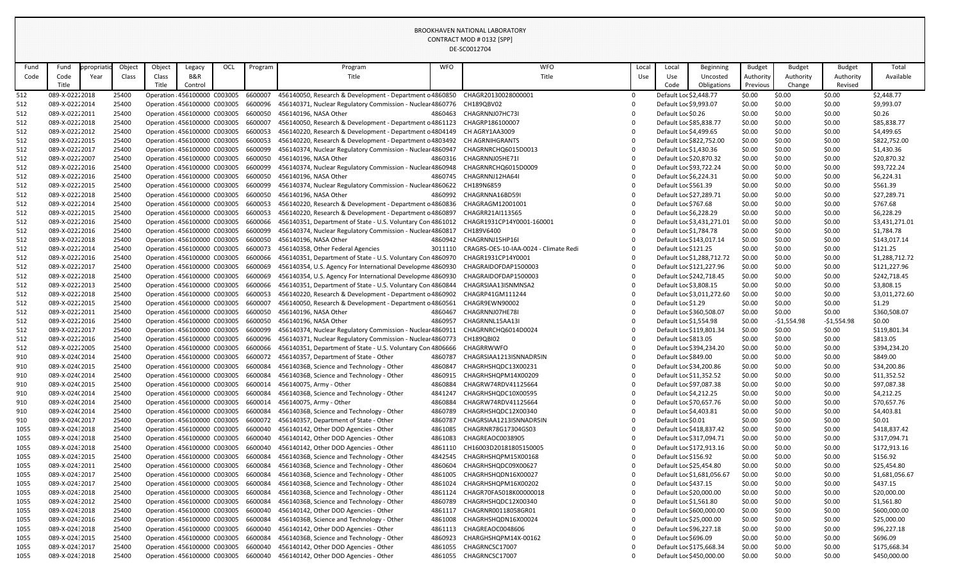## BROOKHAVEN NATIONAL LABORATORY CONTRACT MOD # 0132 [SPP] DE-SC0012704

| Fund | Fund            | opropriatio | Object | Object | Legacy                              | OCL | Program | Program                                                                                                    | <b>WFO</b> | <b>WFO</b>                                    | Local      | Local                  | <b>Beginning</b>           | <b>Budget</b> | <b>Budget</b> | <b>Budget</b> | Total          |
|------|-----------------|-------------|--------|--------|-------------------------------------|-----|---------|------------------------------------------------------------------------------------------------------------|------------|-----------------------------------------------|------------|------------------------|----------------------------|---------------|---------------|---------------|----------------|
| Code | Code            | Year        | Class  | Class  | B&R                                 |     |         | Title                                                                                                      |            | Title                                         | <b>Use</b> | <b>Use</b>             | Uncosted                   | Authority     | Authority     | Authority     | Available      |
|      | Title           |             |        | Title  | Control                             |     |         |                                                                                                            |            |                                               |            | Code                   | Obligations                | Previous      | Change        | Revised       |                |
|      |                 |             |        |        |                                     |     |         |                                                                                                            |            |                                               |            |                        |                            |               |               |               |                |
| 512  | 089-X-02222018  |             | 25400  |        | Operation : 456100000 C003005       |     | 6600007 | 456140050, Research & Development - Department c 4860850 CHAGR20130028000001                               |            |                                               |            | Default Loc \$2,448.77 |                            | \$0.00        | \$0.00        | \$0.00        | \$2,448.77     |
| 512  | 089-X-02222014  |             | 25400  |        | Operation : 456100000 C003005       |     | 6600096 | 456140371, Nuclear Regulatory Commission - Nuclear 4860776 CH189QBV02                                      |            |                                               |            | Default Loc \$9,993.07 |                            | \$0.00        | \$0.00        | \$0.00        | \$9,993.07     |
| 512  | 089-X-02222011  |             | 25400  |        | Operation : 456100000 C003005       |     | 6600050 | 456140196, NASA Other                                                                                      |            | 4860463 CHAGRNNJ07HC73I                       |            | Default Loc \$0.26     |                            | \$0.00        | \$0.00        | \$0.00        | \$0.26         |
| 512  | 089-X-02222018  |             | 25400  |        | Operation : 456100000 C003005       |     | 6600007 | 456140050, Research & Development - Department c 4861123 CHAGRP186100007                                   |            |                                               |            |                        | Default Loc \$85,838.77    | \$0.00        | \$0.00        | \$0.00        | \$85,838.77    |
| 512  | 089-X-02222012  |             | 25400  |        | Operation 456100000 C003005         |     | 6600053 | 456140220, Research & Development - Department c 4804149 CH AGRY1AA3009                                    |            |                                               |            | Default Loc \$4,499.65 |                            | \$0.00        | \$0.00        | \$0.00        | \$4,499.65     |
| 512  | 089-X-02222015  |             | 25400  |        | Operation : 456100000 C003005       |     | 6600053 | 456140220, Research & Development - Department c 4803492 CH AGRNIHGRANTS                                   |            |                                               |            |                        | Default Loc \$822,752.00   | \$0.00        | \$0.00        | \$0.00        | \$822,752.00   |
| 512  | 089-X-02222017  |             | 25400  |        | Operation 456100000 C003005         |     | 6600099 | 456140374, Nuclear Regulatory Commission - Nucleaı 4860947 CHAGRNRCHQ6015D0013                             |            |                                               |            | Default Loc \$1,430.36 |                            | \$0.00        | \$0.00        | \$0.00        | \$1,430.36     |
| 512  | 089-X-02222007  |             | 25400  |        | Operation 456100000 C003005         |     | 6600050 | 456140196, NASA Other                                                                                      |            | 4860316 CHAGRNNJ05HE71I                       |            |                        | Default Loc \$20,870.32    | \$0.00        | \$0.00        | \$0.00        | \$20,870.32    |
| 512  | 089-X-02222016  |             | 25400  |        | Operation : 456100000 C003005       |     | 6600099 | 456140374, Nuclear Regulatory Commission - Nucleaı 4860948 CHAGRNRCHQ6015D0009                             |            |                                               |            |                        | Default Loc \$93,722.24    | \$0.00        | \$0.00        | \$0.00        | \$93,722.24    |
| 512  | 089-X-02222016  |             | 25400  |        | Operation 456100000 C003005         |     | 6600050 | 456140196, NASA Other                                                                                      |            | 4860745 CHAGRNNJ12HA64I                       |            | Default Loc \$6,224.31 |                            | \$0.00        | \$0.00        | \$0.00        | \$6,224.31     |
| 512  | 089-X-02222015  |             | 25400  |        | Operation : 456100000 C003005       |     | 6600099 | 456140374, Nuclear Regulatory Commission - Nuclear 4860622 CH189N6859                                      |            |                                               |            | Default Loc \$561.39   |                            | \$0.00        | \$0.00        | \$0.00        | \$561.39       |
| 512  | 089-X-02222018  |             | 25400  |        | Operation 456100000 C003005         |     | 6600050 | 456140196, NASA Other                                                                                      |            | 4860992 CHAGRNNA16BD59I                       |            |                        | Default Loc \$27,289.71    | \$0.00        | \$0.00        | \$0.00        | \$27,289.71    |
| 512  | 089-X-02222014  |             | 25400  |        | Operation 456100000 C003005         |     | 6600053 | 456140220, Research & Development - Department c 4860836 CHAGRAGM12001001                                  |            |                                               |            | Default Loc \$767.68   |                            | \$0.00        | \$0.00        | \$0.00        | \$767.68       |
| 512  | 089-X-02222015  |             | 25400  |        | Operation : 456100000 C003005       |     | 6600053 | 456140220, Research & Development - Department c 4860897 CHAGRR21AI113565                                  |            |                                               |            | Default Loc \$6,228.29 |                            | \$0.00        | \$0.00        | \$0.00        | \$6,228.29     |
|      |                 |             |        |        |                                     |     |         |                                                                                                            |            |                                               |            |                        |                            |               |               |               |                |
| 512  | 089-X-02222016  |             | 25400  |        | Operation 456100000 C003005         |     | 6600066 | 456140351, Department of State - U.S. Voluntary Con 4861012 CHAGR1931CP14Y0001-160001                      |            |                                               |            |                        | Default Loc \$3,431,271.01 | \$0.00        | \$0.00        | \$0.00        | \$3,431,271.01 |
| 512  | 089-X-02222016  |             | 25400  |        | Operation : 456100000 C003005       |     | 6600099 | 456140374, Nuclear Regulatory Commission - Nucleaı 4860817 CH189V6400                                      |            |                                               |            | Default Loc \$1,784.78 |                            | \$0.00        | \$0.00        | \$0.00        | \$1,784.78     |
| 512  | 089-X-02222018  |             | 25400  |        | Operation : 456100000 C003005       |     | 6600050 | 456140196, NASA Other                                                                                      | 4860942    | CHAGRNNJ15HP16I                               |            |                        | Default Loc \$143,017.14   | \$0.00        | \$0.00        | \$0.00        | \$143,017.14   |
| 512  | 089-X-02222014  |             | 25400  |        | Operation 456100000 C003005         |     | 6600073 | 456140358, Other Federal Agencies                                                                          |            | 3011110 CRAGRS-OES-10-IAA-0024 - Climate Redi |            | Default Loc \$121.25   |                            | \$0.00        | \$0.00        | \$0.00        | \$121.25       |
| 512  | 089-X-02222016  |             | 25400  |        | Operation : 456100000 C003005       |     | 6600066 | 456140351, Department of State - U.S. Voluntary Con 4860970 CHAGR1931CP14Y0001                             |            |                                               |            |                        | Default Loc \$1,288,712.72 | \$0.00        | \$0.00        | \$0.00        | \$1,288,712.72 |
| 512  | 089-X-02222017  |             | 25400  |        | Operation : 456100000 C003005       |     | 6600069 | 456140354, U.S. Agency For International Developme 4860930 CHAGRAIDOFDAP1500003                            |            |                                               |            |                        | Default Loc \$121,227.96   | \$0.00        | \$0.00        | \$0.00        | \$121,227.96   |
| 512  | 089-X-02222018  |             | 25400  |        | Operation : 456100000 C003005       |     | 6600069 | 456140354, U.S. Agency For International Developme 4860930                                                 |            | CHAGRAIDOFDAP1500003                          |            |                        | Default Loc \$242,718.45   | \$0.00        | \$0.00        | \$0.00        | \$242,718.45   |
| 512  | 089-X-02222013  |             | 25400  |        | Operation 456100000 C003005         |     | 6600066 | 456140351, Department of State - U.S. Voluntary Con 4860844 CHAGRSIAA13ISNMNSA2                            |            |                                               |            | Default Loc \$3,808.15 |                            | \$0.00        | \$0.00        | \$0.00        | \$3,808.15     |
| 512  | 089-X-02222018  |             | 25400  |        | Operation 456100000 C003005         |     | 6600053 | 456140220, Research & Development - Department c 4860902 CHAGRP41GM111244                                  |            |                                               |            |                        | Default Loc \$3,011,272.60 | \$0.00        | \$0.00        | \$0.00        | \$3,011,272.60 |
| 512  | 089-X-02222015  |             | 25400  |        | Operation : 456100000 C003005       |     | 6600007 | 456140050, Research & Development - Department c 4860561 CHAGR9EWN90002                                    |            |                                               |            | Default Loc \$1.29     |                            | \$0.00        | \$0.00        | \$0.00        | \$1.29         |
| 512  | 089-X-02222011  |             | 25400  |        | Operation : 456100000 C003005       |     | 6600050 | 456140196, NASA Other                                                                                      |            | 4860467 CHAGRNNJ07HE78I                       |            |                        | Default Loc \$360,508.07   | \$0.00        | \$0.00        | \$0.00        | \$360,508.07   |
| 512  | 089-X-02222016  |             | 25400  |        | Operation : 456100000 C003005       |     | 6600050 | 456140196, NASA Other                                                                                      | 4860957    | CHAGRNNL15AA13I                               |            | Default Loc \$1,554.98 |                            | \$0.00        | $-$1,554.98$  | $-51,554.98$  | \$0.00         |
| 512  | 089-X-02222017  |             | 25400  |        | Operation 456100000 C003005         |     | 6600099 | 456140374, Nuclear Regulatory Commission - Nucleaı 4860911 CHAGRNRCHQ6014D0024                             |            |                                               |            |                        | Default Loc \$119,801.34   | \$0.00        | \$0.00        | \$0.00        | \$119,801.34   |
| 512  | 089-X-02222016  |             | 25400  |        | Operation : 456100000 C003005       |     | 6600096 | 456140371, Nuclear Regulatory Commission - Nuclear 4860773 CH189QBI02                                      |            |                                               |            | Default Loc \$813.05   |                            | \$0.00        | \$0.00        | \$0.00        | \$813.05       |
|      |                 |             |        |        |                                     |     |         |                                                                                                            |            |                                               |            |                        |                            |               |               |               |                |
| 512  | 089-X-02222005  |             | 25400  |        |                                     |     |         | Operation 456100000 C003005 6600066 456140351, Department of State - U.S. Voluntary Con 4806666 CHAGRRWWFO |            |                                               |            |                        | Default Loc \$394,234.20   | \$0.00        | \$0.00        | \$0.00        | \$394,234.20   |
| 910  | 089-X-024(2014  |             | 25400  |        | Operation 456100000 C003005 6600072 |     |         | 456140357, Department of State - Other                                                                     | 4860787    | CHAGRSIAA1213ISNNADR5IN                       |            | Default Loc \$849.00   |                            | \$0.00        | \$0.00        | \$0.00        | \$849.00       |
| 910  | 089-X-024(2015  |             | 25400  |        | Operation 456100000 C003005         |     | 6600084 | 45614036B, Science and Technology - Other                                                                  | 4860847    | CHAGRHSHQDC13X00231                           |            |                        | Default Loc \$34,200.86    | \$0.00        | \$0.00        | \$0.00        | \$34,200.86    |
| 910  | 089-X-024(2014  |             | 25400  |        | Operation : 456100000 C003005       |     | 6600084 | 45614036B, Science and Technology - Other                                                                  | 4860915    | CHAGRHSHQPM14X00209                           |            |                        | Default Loc \$11,352.52    | \$0.00        | \$0.00        | \$0.00        | \$11,352.52    |
| 910  | 089-X-024(2015  |             | 25400  |        | Operation 456100000 C003005         |     | 6600014 | 456140075, Army - Other                                                                                    | 4860884    | CHAGRW74RDV41125664                           |            |                        | Default Loc \$97,087.38    | \$0.00        | \$0.00        | \$0.00        | \$97,087.38    |
| 910  | 089-X-024(2014  |             | 25400  |        | Operation : 456100000 C003005       |     | 6600084 | 45614036B, Science and Technology - Other                                                                  | 4841247    | CHAGRHSHQDC10X00595                           |            | Default Loc \$4,212.25 |                            | \$0.00        | \$0.00        | \$0.00        | \$4,212.25     |
| 910  | 089-X-024(2014  |             | 25400  |        | Operation : 456100000 C003005       |     | 6600014 | 456140075, Army - Other                                                                                    | 4860884    | CHAGRW74RDV41125664                           |            |                        | Default Loc \$70,657.76    | \$0.00        | \$0.00        | \$0.00        | \$70,657.76    |
| 910  | 089-X-024(2014  |             | 25400  |        | Operation : 456100000 C003005       |     | 6600084 | 45614036B, Science and Technology - Other                                                                  | 4860789    | CHAGRHSHQDC12X00340                           |            | Default Loc \$4,403.81 |                            | \$0.00        | \$0.00        | \$0.00        | \$4,403.81     |
| 910  | 089-X-024(2017  |             | 25400  |        | Operation 456100000 C003005         |     | 6600072 | 456140357, Department of State - Other                                                                     | 4860787    | CHAGRSIAA1213ISNNADR5IN                       |            | Default Loc \$0.01     |                            | \$0.00        | \$0.00        | \$0.00        | \$0.01         |
| 1055 | 089-X-02432018  |             | 25400  |        | Operation : 456100000 C003005       |     | 6600040 | 456140142, Other DOD Agencies - Other                                                                      | 4861085    | CHAGRNR78G17304GS03                           |            |                        | Default Loc \$418,837.42   | \$0.00        | \$0.00        | \$0.00        | \$418,837.42   |
| 1055 | 089-X-02432018  |             | 25400  |        | Operation : 456100000 C003005       |     | 6600040 | 456140142, Other DOD Agencies - Other                                                                      | 4861083    | CHAGREAOC0038905                              |            |                        | Default Loc \$317,094.71   | \$0.00        | \$0.00        | \$0.00        | \$317,094.71   |
| 1055 | 089-X-02432018  |             | 25400  |        | Operation 456100000 C003005         |     | 6600040 | 456140142, Other DOD Agencies - Other                                                                      | 4861110    | CH16003D20181805150005                        |            |                        | Default Loc \$172,913.16   | \$0.00        | \$0.00        | \$0.00        | \$172,913.16   |
| 1055 | 089-X-02432015  |             | 25400  |        | Operation 456100000 C003005         |     | 6600084 | 45614036B, Science and Technology - Other                                                                  | 4842545    | CHAGRHSHQPM15X00168                           |            | Default Loc \$156.92   |                            | \$0.00        | \$0.00        | \$0.00        | \$156.92       |
| 1055 | 089-X-024:2011  |             | 25400  |        | Operation : 456100000 C003005       |     | 6600084 | 45614036B, Science and Technology - Other                                                                  | 4860604    | CHAGRHSHQDC09X00627                           |            |                        | Default Loc \$25,454.80    | \$0.00        | \$0.00        | \$0.00        | \$25,454.80    |
|      |                 |             |        |        |                                     |     |         |                                                                                                            | 4861005    |                                               |            |                        |                            |               |               |               |                |
| 1055 | 089-X-024:2017  |             | 25400  |        | Operation 456100000 C003005         |     | 6600084 | 45614036B, Science and Technology - Other                                                                  |            | CHAGRHSHQDN16X00027                           |            |                        | Default Loc \$1,681,056.67 | \$0.00        | \$0.00        | \$0.00        | \$1,681,056.67 |
| 1055 | 089-X-02432017  |             | 25400  |        | Operation 456100000 C003005         |     | 6600084 | 45614036B, Science and Technology - Other                                                                  | 4861024    | CHAGRHSHQPM16X00202                           |            | Default Loc \$437.15   |                            | \$0.00        | \$0.00        | \$0.00        | \$437.15       |
| 1055 | 089-X-02432018  |             | 25400  |        | Operation 456100000 C003005         |     | 6600084 | 45614036B, Science and Technology - Other                                                                  | 4861124    | CHAGR70FA5018K00000018                        |            |                        | Default Loc \$20,000.00    | \$0.00        | \$0.00        | \$0.00        | \$20,000.00    |
| 1055 | 089-X-02432012  |             | 25400  |        | Operation 456100000 C003005         |     | 6600084 | 45614036B, Science and Technology - Other                                                                  | 4860789    | CHAGRHSHQDC12X00340                           |            | Default Loc \$1,561.80 |                            | \$0.00        | \$0.00        | \$0.00        | \$1,561.80     |
| 1055 | 089-X-02432018  |             | 25400  |        | Operation : 456100000 C003005       |     | 6600040 | 456140142, Other DOD Agencies - Other                                                                      | 4861117    | CHAGRNR00118058GR01                           |            |                        | Default Loc \$600,000.00   | \$0.00        | \$0.00        | \$0.00        | \$600,000.00   |
| 1055 | 089-X-02432016  |             | 25400  |        | Operation 456100000 C003005         |     | 6600084 | 45614036B, Science and Technology - Other                                                                  | 4861008    | CHAGRHSHQDN16X00024                           |            |                        | Default Loc \$25,000.00    | \$0.00        | \$0.00        | \$0.00        | \$25,000.00    |
| 1055 | 089-X-02432018  |             | 25400  |        | Operation : 456100000 C003005       |     | 6600040 | 456140142, Other DOD Agencies - Other                                                                      | 4861113    | CHAGREAOC0048606                              |            |                        | Default Loc \$96,227.18    | \$0.00        | \$0.00        | \$0.00        | \$96,227.18    |
| 1055 | 089-X-02432015  |             | 25400  |        | Operation : 456100000 C003005       |     | 6600084 | 45614036B, Science and Technology - Other                                                                  | 4860923    | CHARGHSHQPM14X-00162                          |            | Default Loc \$696.09   |                            | \$0.00        | \$0.00        | \$0.00        | \$696.09       |
| 1055 | 089-X-024: 2017 |             | 25400  |        | Operation : 456100000 C003005       |     | 6600040 | 456140142, Other DOD Agencies - Other                                                                      | 4861055    | CHAGRNCSC17007                                |            |                        | Default Loc \$175,668.34   | \$0.00        | \$0.00        | \$0.00        | \$175,668.34   |
| 1055 | 089-X-02432018  |             | 25400  |        | Operation 456100000 C003005         |     | 6600040 | 456140142, Other DOD Agencies - Other                                                                      |            | 4861055 CHAGRNCSC17007                        |            |                        | Default Loc \$450,000.00   | \$0.00        | \$0.00        | \$0.00        | \$450,000.00   |

| Local                  | Local                  | <b>Beginning</b>           | <b>Budget</b> | <b>Budget</b> | <b>Budget</b> | Total          |
|------------------------|------------------------|----------------------------|---------------|---------------|---------------|----------------|
| Use                    | Use                    | Uncosted                   | Authority     | Authority     | Authority     | Available      |
|                        | Code                   | Obligations                | Previous      | Change        | Revised       |                |
| $\pmb{0}$              | Default Loc \$2,448.77 |                            | \$0.00        | \$0.00        | \$0.00        | \$2,448.77     |
| $\pmb{0}$              | Default Loc \$9,993.07 |                            | \$0.00        | \$0.00        | \$0.00        | \$9,993.07     |
| $\boldsymbol{0}$       | Default Loc \$0.26     |                            | \$0.00        | \$0.00        | \$0.00        | \$0.26         |
| 0                      |                        | Default Loc \$85,838.77    | \$0.00        | \$0.00        | \$0.00        | \$85,838.77    |
| $\boldsymbol{0}$       | Default Loc \$4,499.65 |                            | \$0.00        | \$0.00        | \$0.00        | \$4,499.65     |
| $\boldsymbol{0}$       |                        | Default Loc \$822,752.00   | \$0.00        | \$0.00        | \$0.00        | \$822,752.00   |
| $\pmb{0}$              | Default Loc \$1,430.36 |                            | \$0.00        | \$0.00        | \$0.00        | \$1,430.36     |
| $\boldsymbol{0}$       |                        | Default Loc \$20,870.32    | \$0.00        | \$0.00        | \$0.00        | \$20,870.32    |
| $\boldsymbol{0}$       |                        | Default Loc \$93,722.24    | \$0.00        | \$0.00        | \$0.00        | \$93,722.24    |
| $\pmb{0}$              | Default Loc \$6,224.31 |                            | \$0.00        | \$0.00        | \$0.00        | \$6,224.31     |
| $\boldsymbol{0}$       | Default Loc \$561.39   |                            | \$0.00        | \$0.00        | \$0.00        | \$561.39       |
| $\boldsymbol{0}$       |                        | Default Loc \$27,289.71    | \$0.00        | \$0.00        | \$0.00        | \$27,289.71    |
| $\boldsymbol{0}$       | Default Loc \$767.68   |                            | \$0.00        | \$0.00        | \$0.00        | \$767.68       |
| $\boldsymbol{0}$       | Default Loc \$6,228.29 |                            | \$0.00        | \$0.00        | \$0.00        | \$6,228.29     |
| $\pmb{0}$              |                        | Default Loc \$3,431,271.01 | \$0.00        | \$0.00        | \$0.00        | \$3,431,271.01 |
| $\boldsymbol{0}$       | Default Loc \$1,784.78 |                            | \$0.00        | \$0.00        | \$0.00        | \$1,784.78     |
| $\pmb{0}$              |                        | Default Loc \$143,017.14   | \$0.00        | \$0.00        | \$0.00        | \$143,017.14   |
| $\boldsymbol{0}$       | Default Loc \$121.25   |                            | \$0.00        | \$0.00        | \$0.00        | \$121.25       |
| $\boldsymbol{0}$       |                        | Default Loc \$1,288,712.72 | \$0.00        | \$0.00        | \$0.00        | \$1,288,712.72 |
| $\pmb{0}$              |                        | Default Loc \$121,227.96   | \$0.00        | \$0.00        | \$0.00        | \$121,227.96   |
| $\pmb{0}$              |                        | Default Loc \$242,718.45   | \$0.00        | \$0.00        | \$0.00        | \$242,718.45   |
| $\boldsymbol{0}$       | Default Loc \$3,808.15 |                            | \$0.00        | \$0.00        | \$0.00        | \$3,808.15     |
| $\boldsymbol{0}$       |                        | Default Loc \$3,011,272.60 | \$0.00        | \$0.00        | \$0.00        | \$3,011,272.60 |
| $\boldsymbol{0}$       | Default Loc \$1.29     |                            | \$0.00        | \$0.00        | \$0.00        | \$1.29         |
| $\boldsymbol{0}$       |                        | Default Loc \$360,508.07   | \$0.00        | \$0.00        | \$0.00        | \$360,508.07   |
| $\boldsymbol{0}$       | Default Loc \$1,554.98 |                            | \$0.00        | $-51,554.98$  | $-$1,554.98$  | \$0.00         |
| 0                      |                        | Default Loc \$119,801.34   | \$0.00        | \$0.00        | \$0.00        | \$119,801.34   |
| $\pmb{0}$              | Default Loc \$813.05   |                            | \$0.00        | \$0.00        | \$0.00        | \$813.05       |
| $\pmb{0}$              |                        | Default Loc \$394,234.20   | \$0.00        | \$0.00        | \$0.00        | \$394,234.20   |
| $\boldsymbol{0}$       | Default Loc \$849.00   |                            | \$0.00        | \$0.00        | \$0.00        | \$849.00       |
| $\pmb{0}$              |                        | Default Loc \$34,200.86    | \$0.00        | \$0.00        | \$0.00        | \$34,200.86    |
| 0                      |                        | Default Loc \$11,352.52    | \$0.00        | \$0.00        | \$0.00        | \$11,352.52    |
| $\pmb{0}$              |                        | Default Loc \$97,087.38    | \$0.00        | \$0.00        | \$0.00        | \$97,087.38    |
| $\pmb{0}$              | Default Loc \$4,212.25 |                            | \$0.00        | \$0.00        | \$0.00        | \$4,212.25     |
| 0                      |                        | Default Loc \$70,657.76    | \$0.00        | \$0.00        | \$0.00        | \$70,657.76    |
| $\pmb{0}$              | Default Loc \$4,403.81 |                            | \$0.00        | \$0.00        | \$0.00        | \$4,403.81     |
| $\boldsymbol{0}$       | Default Loc \$0.01     |                            | \$0.00        | \$0.00        | \$0.00        | \$0.01         |
| $\boldsymbol{0}$       |                        | Default Loc \$418,837.42   | \$0.00        | \$0.00        | \$0.00        | \$418,837.42   |
| $\boldsymbol{0}$       |                        | Default Loc \$317,094.71   | \$0.00        | \$0.00        | \$0.00        | \$317,094.71   |
| $\pmb{0}$              |                        | Default Loc \$172,913.16   | \$0.00        | \$0.00        | \$0.00        | \$172,913.16   |
| $\pmb{0}$              | Default Loc \$156.92   |                            | \$0.00        | \$0.00        | \$0.00        | \$156.92       |
| $\pmb{0}$              |                        | Default Loc \$25,454.80    | \$0.00        | \$0.00        | \$0.00        | \$25,454.80    |
| $\boldsymbol{0}$       |                        | Default Loc \$1,681,056.67 | \$0.00        | \$0.00        | \$0.00        | \$1,681,056.67 |
| $\pmb{0}$              | Default Loc \$437.15   |                            | \$0.00        | \$0.00        | \$0.00        | \$437.15       |
| $\pmb{0}$              |                        | Default Loc \$20,000.00    | \$0.00        | \$0.00        | \$0.00        | \$20,000.00    |
| $\pmb{0}$              | Default Loc \$1,561.80 |                            | \$0.00        | \$0.00        | \$0.00        | \$1,561.80     |
| $\pmb{0}$              |                        | Default Loc \$600,000.00   | \$0.00        | \$0.00        | \$0.00        | \$600,000.00   |
| $\pmb{0}$              |                        | Default Loc \$25,000.00    | \$0.00        | \$0.00        | \$0.00        | \$25,000.00    |
| 0                      |                        | Default Loc \$96,227.18    | \$0.00        | \$0.00        | \$0.00        | \$96,227.18    |
|                        |                        |                            | \$0.00        | \$0.00        | \$0.00        | \$696.09       |
|                        |                        |                            |               |               |               |                |
| $\pmb{0}$<br>$\pmb{0}$ | Default Loc \$696.09   | Default Loc \$175,668.34   | \$0.00        | \$0.00        | \$0.00        | \$175,668.34   |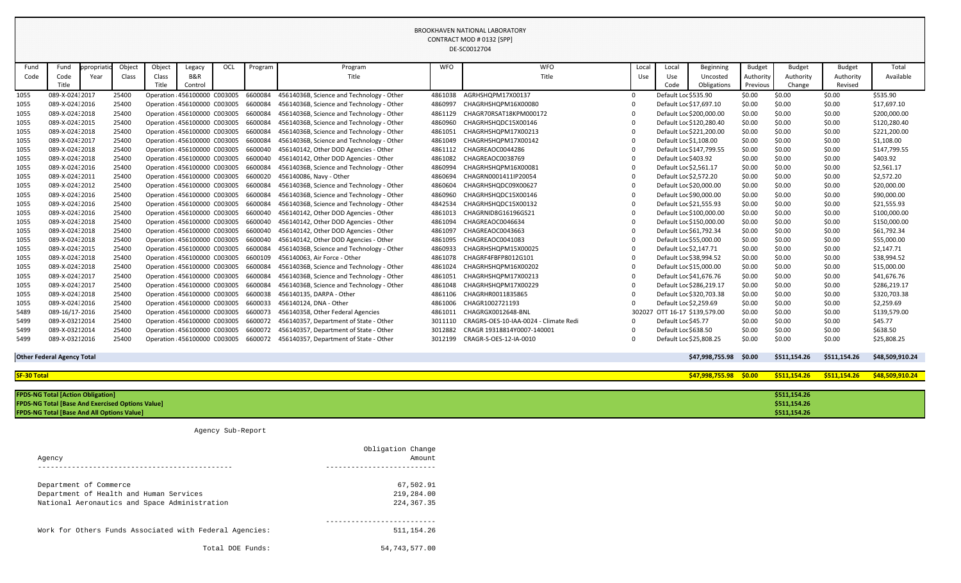BROOKHAVEN NATIONAL LABORATORY CONTRACT MOD # 0132 [SPP] DE-SC0012704

| Fund | Fund            | ppropriatic | Object | Object | Legacy                        | <b>OCI</b> | Program | Program                                   | <b>WFO</b> | <b>WFO</b>                            | Local | Local                    | Beginning                | <b>Budget</b> | <b>Budget</b> | <b>Budget</b> | Total        |
|------|-----------------|-------------|--------|--------|-------------------------------|------------|---------|-------------------------------------------|------------|---------------------------------------|-------|--------------------------|--------------------------|---------------|---------------|---------------|--------------|
| Code | Code            | Year        | Class  | Class  | <b>B&amp;R</b>                |            |         | Title                                     |            | Title                                 | Use   | Use                      | Uncosted                 | Authority     | Authority     | Authority     | Available    |
|      | Title           |             |        | Title  | Control                       |            |         |                                           |            |                                       |       | Code                     | Obligations              | Previous      | Change        | Revised       |              |
| 1055 | 089-X-024:2017  |             | 25400  |        | Operation : 456100000 C003005 |            | 6600084 | 45614036B, Science and Technology - Other | 4861038    | AGRHSHQPM17X00137                     |       | Default Loc \$535.90     |                          | \$0.00        | \$0.00        | \$0.00        | \$535.90     |
| 1055 | 089-X-02432016  |             | 25400  |        | Operation : 456100000 C003005 |            | 6600084 | 45614036B, Science and Technology - Other | 4860997    | CHAGRHSHQPM16X00080                   |       | Default Loc \$17,697.10  |                          | \$0.00        | \$0.00        | \$0.00        | \$17,697.10  |
| 1055 | 089-X-024:2018  |             | 25400  |        | Operation : 456100000 C003005 |            | 6600084 | 45614036B, Science and Technology - Other | 4861129    | CHAGR70RSAT18KPM000172                |       |                          | Default Loc \$200,000.00 | \$0.00        | \$0.00        | \$0.00        | \$200,000.00 |
| 1055 | 089-X-024:2015  |             | 25400  |        | Operation 456100000 C003005   |            | 6600084 | 45614036B, Science and Technology - Other | 4860960    | CHAGRHSHQDC15X00146                   |       |                          | Default Loc \$120,280.40 | \$0.00        | \$0.00        | \$0.00        | \$120,280.40 |
| 1055 | 089-X-024:2018  |             | 25400  |        | Operation : 456100000 C003005 |            | 6600084 | 45614036B, Science and Technology - Other | 4861051    | CHAGRHSHQPM17X00213                   |       |                          | Default Loc \$221,200.00 | \$0.00        | \$0.00        | \$0.00        | \$221,200.00 |
| 1055 | 089-X-024: 2017 |             | 25400  |        | Operation : 456100000 C003005 |            | 6600084 | 45614036B, Science and Technology - Other | 4861049    | CHAGRHSHQPM17X00142                   |       | Default Loc \$1,108.00   |                          | \$0.00        | \$0.00        | \$0.00        | \$1,108.00   |
| 1055 | 089-X-024:2018  |             | 25400  |        | Operation 456100000 C003005   |            | 6600040 | 456140142, Other DOD Agencies - Other     | 4861112    | CHAGREAOC0044286                      |       |                          | Default Loc \$147,799.55 | \$0.00        | \$0.00        | \$0.00        | \$147,799.55 |
| 1055 | 089-X-024:2018  |             | 25400  |        | Operation 456100000 C003005   |            | 6600040 | 456140142, Other DOD Agencies - Other     | 4861082    | CHAGREAOC0038769                      |       | Default Loc \$403.92     |                          | \$0.00        | \$0.00        | \$0.00        | \$403.92     |
| 1055 | 089-X-024:2016  |             | 25400  |        | Operation 456100000 C003005   |            | 6600084 | 45614036B, Science and Technology - Other | 4860994    | CHAGRHSHQPM16X00081                   |       | Default Loc \$2,561.17   |                          | \$0.00        | \$0.00        | \$0.00        | \$2,561.17   |
| 1055 | 089-X-024:2011  |             | 25400  |        | Operation 456100000 C003005   |            | 6600020 | 456140086, Navy - Other                   | 4860694    | CHAGRN0001411IP20054                  |       | Default Loc \$2,572.20   |                          | \$0.00        | \$0.00        | \$0.00        | \$2,572.20   |
| 1055 | 089-X-02432012  |             | 25400  |        | Operation : 456100000 C003005 |            | 6600084 | 45614036B, Science and Technology - Other | 4860604    | CHAGRHSHQDC09X00627                   |       | Default Loc \$20,000.00  |                          | \$0.00        | \$0.00        | \$0.00        | \$20,000.00  |
| 1055 | 089-X-024:2016  |             | 25400  |        | Operation : 456100000 C003005 |            | 6600084 | 45614036B, Science and Technology - Other | 4860960    | CHAGRHSHQDC15X00146                   |       | Default Loc \$90,000.00  |                          | \$0.00        | \$0.00        | \$0.00        | \$90,000.00  |
| 1055 | 089-X-024:2016  |             | 25400  |        | Operation : 456100000 C003005 |            | 6600084 | 45614036B, Science and Technology - Other | 4842534    | CHAGRHSHQDC15X00132                   |       | Default Loc \$21,555.93  |                          | \$0.00        | \$0.00        | \$0.00        | \$21,555.93  |
| 1055 | 089-X-024:2016  |             | 25400  |        | Operation : 456100000 C003005 |            | 6600040 | 456140142, Other DOD Agencies - Other     | 4861013    | CHAGRNID8G16196GS21                   |       |                          | Default Loc \$100,000.00 | \$0.00        | \$0.00        | \$0.00        | \$100,000.00 |
| 1055 | 089-X-024:2018  |             | 25400  |        | Operation 456100000 C003005   |            | 6600040 | 456140142, Other DOD Agencies - Other     | 4861094    | CHAGREAOC0046634                      |       |                          | Default Loc \$150,000.00 | \$0.00        | \$0.00        | \$0.00        | \$150,000.00 |
| 1055 | 089-X-024:2018  |             | 25400  |        | Operation : 456100000 C003005 |            | 6600040 | 456140142, Other DOD Agencies - Other     | 4861097    | CHAGREAOC0043663                      |       | Default Loc \$61,792.34  |                          | \$0.00        | \$0.00        | \$0.00        | \$61,792.34  |
| 1055 | 089-X-024:2018  |             | 25400  |        | Operation : 456100000 C003005 |            | 6600040 | 456140142, Other DOD Agencies - Other     | 4861095    | CHAGREAOC0041083                      |       | Default Loc \$55,000.00  |                          | \$0.00        | \$0.00        | \$0.00        | \$55,000.00  |
| 1055 | 089-X-02432015  |             | 25400  |        | Operation 456100000 C003005   |            | 6600084 | 45614036B, Science and Technology - Other | 4860933    | CHAGRHSHQPM15X00025                   |       | Default Loc \$2,147.71   |                          | \$0.00        | \$0.00        | \$0.00        | \$2,147.71   |
| 1055 | 089-X-024:2018  |             | 25400  |        | Operation : 456100000 C003005 |            | 6600109 | 456140063, Air Force - Other              | 4861078    | CHAGRF4FBFP8012G101                   |       | Default Loc \$38,994.52  |                          | \$0.00        | \$0.00        | \$0.00        | \$38,994.52  |
| 1055 | 089-X-024:2018  |             | 25400  |        | Operation 456100000 C003005   |            | 6600084 | 45614036B, Science and Technology - Other | 4861024    | CHAGRHSHQPM16X00202                   |       | Default Loc \$15,000.00  |                          | \$0.00        | \$0.00        | \$0.00        | \$15,000.00  |
| 1055 | 089-X-024: 2017 |             | 25400  |        | Operation : 456100000 C003005 |            | 6600084 | 45614036B, Science and Technology - Other | 4861051    | CHAGRHSHQPM17X00213                   |       | Default Loc \$41,676.76  |                          | \$0.00        | \$0.00        | \$0.00        | \$41,676.76  |
| 1055 | 089-X-024: 2017 |             | 25400  |        | Operation : 456100000 C003005 |            | 6600084 | 45614036B, Science and Technology - Other | 4861048    | CHAGRHSHQPM17X00229                   |       | Default Loc \$286,219.17 |                          | \$0.00        | \$0.00        | \$0.00        | \$286,219.17 |
| 1055 | 089-X-024:2018  |             | 25400  |        | Operation 456100000 C003005   |            | 6600038 | 456140135, DARPA - Other                  | 4861106    | CHAGRHR0011835865                     |       |                          | Default Loc \$320,703.38 | \$0.00        | \$0.00        | \$0.00        | \$320,703.38 |
| 1055 | 089-X-024:2016  |             | 25400  |        | Operation 456100000 C003005   |            | 6600033 | 456140124, DNA - Other                    | 4861006    | CHAGR1002721193                       |       | Default Loc \$2,259.69   |                          | \$0.00        | \$0.00        | \$0.00        | \$2,259.69   |
| 5489 | 089-16/17-2016  |             | 25400  |        | Operation 456100000 C003005   |            | 6600073 | 456140358, Other Federal Agencies         | 4861011    | CHAGRGX0012648-BNL                    |       |                          | OTT 16-17 \$139,579.00   | \$0.00        | \$0.00        | \$0.00        | \$139,579.00 |
| 5499 | 089-X-03212014  |             | 25400  |        | Operation 456100000 C003005   |            | 6600072 | 456140357, Department of State - Other    | 3011110    | CRAGRS-OES-10-IAA-0024 - Climate Redi |       | Default Loc \$45.77      |                          | \$0.00        | \$0.00        | \$0.00        | \$45.77      |
| 5499 | 089-X-03212014  |             | 25400  |        | Operation : 456100000 C003005 |            | 6600072 | 456140357, Department of State - Other    | 3012882    | CRAGR 19318814Y0007-140001            |       | Default Loc \$638.50     |                          | \$0.00        | \$0.00        | \$0.00        | \$638.50     |
| 5499 | 089-X-03212016  |             | 25400  |        | Operation 456100000 C003005   |            | 6600072 | 456140357, Department of State - Other    | 3012199    | CRAGR-S-OES-12-IA-0010                |       | Default Loc \$25,808.25  |                          | \$0.00        | \$0.00        | \$0.00        | \$25,808.25  |

|             |                                                                                                                     |            |        |        |                               |     |         |                                                                             |            | <b>DE-SCOUTZ/04</b>                   |        |                        |                          |               |                              |               |                 |
|-------------|---------------------------------------------------------------------------------------------------------------------|------------|--------|--------|-------------------------------|-----|---------|-----------------------------------------------------------------------------|------------|---------------------------------------|--------|------------------------|--------------------------|---------------|------------------------------|---------------|-----------------|
| Fund        | Fund                                                                                                                | ppropriati | Object | Object | Legacy                        | OCL | Program | Program                                                                     | <b>WFO</b> | <b>WFO</b>                            | Local  | Local                  | Beginning                | <b>Budget</b> | <b>Budget</b>                | <b>Budget</b> | Total           |
| Code        | Code                                                                                                                | Year       | Class  | Class  | B&R                           |     |         | Title                                                                       |            | Title                                 | Use    | Use                    | Uncosted                 | Authority     | Authority                    | Authority     | Available       |
|             | Title                                                                                                               |            |        | Title  | Control                       |     |         |                                                                             |            |                                       |        | Code                   | Obligations              | Previous      | Change                       | Revised       |                 |
| 1055        | 089-X-024:2017                                                                                                      |            | 25400  |        | Operation : 456100000 C003005 |     | 6600084 | 45614036B, Science and Technology - Other                                   | 4861038    | AGRHSHQPM17X00137                     | - റ    | Default Loc \$535.90   |                          | \$0.00        | \$0.00                       | \$0.00        | \$535.90        |
| 1055        | 089-X-024:2016                                                                                                      |            | 25400  |        | Operation 456100000 C003005   |     | 6600084 | 45614036B, Science and Technology - Other                                   | 4860997    | CHAGRHSHQPM16X00080                   |        |                        | Default Loc \$17,697.10  | \$0.00        | \$0.00                       | \$0.00        | \$17,697.10     |
| 1055        | 089-X-024:2018                                                                                                      |            | 25400  |        | Operation : 456100000 C003005 |     | 6600084 | 45614036B, Science and Technology - Other                                   | 4861129    | CHAGR70RSAT18KPM000172                |        |                        | Default Loc \$200,000.00 | \$0.00        | \$0.00                       | \$0.00        | \$200,000.00    |
| 1055        | 089-X-024: 2015                                                                                                     |            | 25400  |        | Operation 456100000 C003005   |     | 6600084 | 45614036B, Science and Technology - Other                                   | 4860960    | CHAGRHSHQDC15X00146                   |        |                        | Default Loc \$120,280.40 | \$0.00        | \$0.00                       | \$0.00        | \$120,280.40    |
| 1055        | 089-X-024:2018                                                                                                      |            | 25400  |        | Operation 456100000 C003005   |     | 6600084 | 45614036B, Science and Technology - Other                                   | 4861051    | CHAGRHSHQPM17X00213                   |        |                        | Default Loc \$221,200.00 | \$0.00        | \$0.00                       | \$0.00        | \$221,200.00    |
| 1055        | 089-X-024:2017                                                                                                      |            | 25400  |        | Operation 456100000 C003005   |     | 6600084 | 45614036B, Science and Technology - Other                                   | 4861049    | CHAGRHSHQPM17X00142                   |        | Default Loc \$1,108.00 |                          | \$0.00        | \$0.00                       | \$0.00        | \$1,108.00      |
| 1055        | 089-X-024:2018                                                                                                      |            | 25400  |        | Operation 456100000 C003005   |     | 6600040 | 456140142, Other DOD Agencies - Other                                       | 4861112    | CHAGREAOC0044286                      |        |                        | Default Loc \$147,799.55 | \$0.00        | \$0.00                       | \$0.00        | \$147,799.55    |
| 1055        | 089-X-024:2018                                                                                                      |            | 25400  |        | Operation 456100000 C003005   |     | 6600040 | 456140142, Other DOD Agencies - Other                                       | 4861082    | CHAGREAOC0038769                      |        | Default Loc \$403.92   |                          | \$0.00        | \$0.00                       | \$0.00        | \$403.92        |
| 1055        | 089-X-02432016                                                                                                      |            | 25400  |        | Operation 456100000 C003005   |     | 6600084 | 45614036B, Science and Technology - Other                                   | 4860994    | CHAGRHSHQPM16X00081                   |        | Default Loc \$2,561.17 |                          | \$0.00        | \$0.00                       | \$0.00        | \$2,561.17      |
| 1055        | 089-X-024:2011                                                                                                      |            | 25400  |        | Operation 456100000 C003005   |     | 6600020 | 456140086, Navy - Other                                                     | 4860694    | CHAGRN0001411IP20054                  |        | Default Loc \$2,572.20 |                          | \$0.00        | \$0.00                       | \$0.00        | \$2,572.20      |
| 1055        | 089-X-02432012                                                                                                      |            | 25400  |        | Operation 456100000 C003005   |     | 6600084 | 45614036B, Science and Technology - Other                                   | 4860604    | CHAGRHSHQDC09X00627                   |        |                        | Default Loc \$20,000.00  | \$0.00        | \$0.00                       | \$0.00        | \$20,000.00     |
| 1055        | 089-X-024:2016                                                                                                      |            | 25400  |        | Operation 456100000 C003005   |     | 6600084 | 45614036B, Science and Technology - Other                                   | 4860960    | CHAGRHSHQDC15X00146                   |        |                        | Default Loc \$90,000.00  | \$0.00        | \$0.00                       | \$0.00        | \$90,000.00     |
| 1055        | 089-X-02432016                                                                                                      |            | 25400  |        | Operation : 456100000 C003005 |     | 6600084 | 45614036B, Science and Technology - Other                                   | 4842534    | CHAGRHSHQDC15X00132                   |        |                        | Default Loc \$21,555.93  | \$0.00        | \$0.00                       | \$0.00        | \$21,555.93     |
| 1055        | 089-X-024:2016                                                                                                      |            | 25400  |        | Operation 456100000 C003005   |     | 6600040 | 456140142, Other DOD Agencies - Other                                       | 4861013    | CHAGRNID8G16196GS21                   |        |                        | Default Loc \$100,000.00 | \$0.00        | \$0.00                       | \$0.00        | \$100,000.00    |
| 1055        | 089-X-02432018                                                                                                      |            | 25400  |        | Operation 456100000 C003005   |     | 6600040 | 456140142, Other DOD Agencies - Other                                       | 4861094    | CHAGREAOC0046634                      |        |                        | Default Loc \$150,000.00 | \$0.00        | \$0.00                       | \$0.00        | \$150,000.00    |
| 1055        | 089-X-02432018                                                                                                      |            | 25400  |        | Operation 456100000 C003005   |     | 6600040 | 456140142, Other DOD Agencies - Other                                       | 4861097    | CHAGREAOC0043663                      |        |                        | Default Loc \$61,792.34  | \$0.00        | \$0.00                       | \$0.00        | \$61,792.34     |
| 1055        | 089-X-024:2018                                                                                                      |            | 25400  |        | Operation 456100000 C003005   |     | 6600040 | 456140142, Other DOD Agencies - Other                                       | 4861095    | CHAGREAOC0041083                      |        |                        | Default Loc \$55,000.00  | \$0.00        | \$0.00                       | \$0.00        | \$55,000.00     |
| 1055        | 089-X-02432015                                                                                                      |            | 25400  |        | Operation 456100000 C003005   |     | 6600084 | 45614036B, Science and Technology - Other                                   | 4860933    | CHAGRHSHQPM15X00025                   |        | Default Loc \$2,147.71 |                          | \$0.00        | \$0.00                       | \$0.00        | \$2,147.71      |
| 1055        | 089-X-02432018                                                                                                      |            | 25400  |        | Operation 456100000 C003005   |     | 6600109 | 456140063, Air Force - Other                                                | 4861078    | CHAGRF4FBFP8012G101                   |        |                        | Default Loc \$38,994.52  | \$0.00        | \$0.00                       | \$0.00        | \$38,994.52     |
| 1055        | 089-X-02432018                                                                                                      |            | 25400  |        | Operation 456100000 C003005   |     | 6600084 | 45614036B, Science and Technology - Other                                   | 4861024    | CHAGRHSHQPM16X00202                   |        |                        | Default Loc \$15,000.00  | \$0.00        | \$0.00                       | \$0.00        | \$15,000.00     |
| 1055        | 089-X-024:2017                                                                                                      |            | 25400  |        | Operation 456100000 C003005   |     | 6600084 | 45614036B, Science and Technology - Other                                   | 4861051    | CHAGRHSHQPM17X00213                   |        |                        | Default Loc \$41,676.76  | \$0.00        | \$0.00                       | \$0.00        | \$41,676.76     |
| 1055        | 089-X-024:2017                                                                                                      |            | 25400  |        | Operation 456100000 C003005   |     | 6600084 | 45614036B, Science and Technology - Other                                   | 4861048    | CHAGRHSHQPM17X00229                   |        |                        | Default Loc \$286,219.17 | \$0.00        | \$0.00                       | \$0.00        | \$286,219.17    |
| 1055        | 089-X-024:2018                                                                                                      |            | 25400  |        | Operation 456100000 C003005   |     | 6600038 | 456140135, DARPA - Other                                                    | 4861106    | CHAGRHR0011835865                     |        |                        | Default Loc \$320,703.38 | \$0.00        | \$0.00                       | \$0.00        | \$320,703.38    |
| 1055        | 089-X-024:2016                                                                                                      |            | 25400  |        | Operation 456100000 C003005   |     | 6600033 | 456140124, DNA - Other                                                      | 4861006    | CHAGR1002721193                       |        | Default Loc \$2,259.69 |                          | \$0.00        | \$0.00                       | \$0.00        | \$2,259.69      |
| 5489        | 089-16/17-2016                                                                                                      |            | 25400  |        | Operation 456100000 C003005   |     | 6600073 | 456140358, Other Federal Agencies                                           | 4861011    | CHAGRGX0012648-BNL                    | 302027 |                        | OTT 16-17 \$139,579.00   | \$0.00        | \$0.00                       | \$0.00        | \$139,579.00    |
| 5499        | 089-X-03212014                                                                                                      |            | 25400  |        | Operation 456100000 C003005   |     | 6600072 | 456140357, Department of State - Other                                      | 3011110    | CRAGRS-OES-10-IAA-0024 - Climate Redi |        | Default Loc \$45.77    |                          | \$0.00        | \$0.00                       | \$0.00        | \$45.77         |
| 5499        | 089-X-03212014                                                                                                      |            | 25400  |        | Operation : 456100000 C003005 |     | 6600072 | 456140357, Department of State - Other                                      | 3012882    | CRAGR 19318814Y0007-140001            |        | Default Loc \$638.50   |                          | \$0.00        | \$0.00                       | \$0.00        | \$638.50        |
| 5499        | 089-X-03212016                                                                                                      |            | 25400  |        |                               |     |         | Operation: 456100000 C003005 6600072 456140357, Department of State - Other |            | 3012199 CRAGR-S-OES-12-IA-0010        |        |                        | Default Loc \$25,808.25  | \$0.00        | \$0.00                       | \$0.00        | \$25,808.25     |
|             |                                                                                                                     |            |        |        |                               |     |         |                                                                             |            |                                       |        |                        |                          |               |                              |               |                 |
|             | <b>Other Federal Agency Total</b>                                                                                   |            |        |        |                               |     |         |                                                                             |            |                                       |        |                        | \$47,998,755.98 \$0.00   |               | \$511,154.26                 | \$511,154.26  | \$48,509,910.24 |
| SF-30 Total | \$47,998,755.98 \$0.00<br>\$511,154.26<br>\$511,154.26<br>\$48,509,910.24                                           |            |        |        |                               |     |         |                                                                             |            |                                       |        |                        |                          |               |                              |               |                 |
|             |                                                                                                                     |            |        |        |                               |     |         |                                                                             |            |                                       |        |                        |                          |               |                              |               |                 |
|             | <b>FPDS-NG Total [Action Obligation]</b><br>\$511,154.26<br><b>FPDS-NG Total [Base And Exercised Options Value]</b> |            |        |        |                               |     |         |                                                                             |            |                                       |        |                        |                          |               |                              |               |                 |
|             | <b>FPDS-NG Total [Base And All Options Value]</b>                                                                   |            |        |        |                               |     |         |                                                                             |            |                                       |        |                        |                          |               | \$511,154.26<br>\$511,154.26 |               |                 |
|             |                                                                                                                     |            |        |        |                               |     |         |                                                                             |            |                                       |        |                        |                          |               |                              |               |                 |

Agency Sub-Report

|                                                         | Obligation Change |
|---------------------------------------------------------|-------------------|
| Agency                                                  | Amount            |
|                                                         | --------------    |
| Department of Commerce                                  | 67,502.91         |
| Department of Health and Human Services                 | 219,284.00        |
| National Aeronautics and Space Administration           | 224, 367. 35      |
|                                                         |                   |
| Work for Others Funds Associated with Federal Agencies: | 511, 154. 26      |
| Total DOE Funds:                                        | 54,743,577.00     |